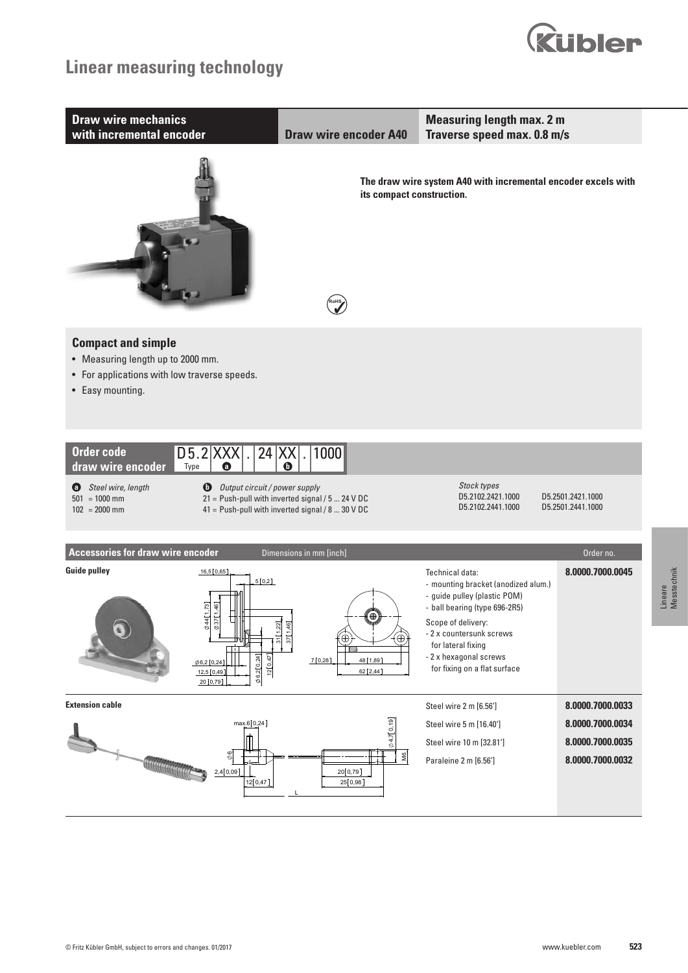# **Linear measuring technology**